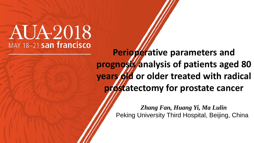# **AUA2018** MAY 18-21 san francisco

**Perioperative parameters and prognosis analysis of patients aged 80 years old or older treated with radical prostatectomy for prostate cancer**

> *Zhang Fan, Huang Yi, Ma Lulin* Peking University Third Hospital, Beijing, China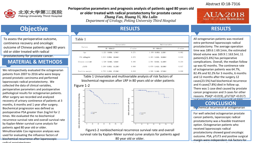

**Perioperative parameters and prognosis analysis of patients aged 80 years old or older treated with radical prostatectomy for prostate cancer** *Zhang Fan, Huang Yi, Ma Lulin Department of Urology, Peking University Third Hospital*

#### Abstract ID:18-7316

 $ATIA-2018$ MAY 18-21 san francisco

# **Objective**

To assess the perioperative outcome, continence recovery and oncologic outcome of Chinese patients aged 80 years old or older treated with radical prostatectomy for prostate cancer.

### **MATERIAL & METHODS**

We retrospectively evaluated the octogenarian patients from 2007 to 2016 who were biopsy proved prostatic carcinoma and performed laparoscopic radical prostatectomy . We collected the data of clinical variables, perioperative parameters and postoperative pathological results for octogenarian patients. After surgery we recorded and analyzed recovery of urinary continence of patients at 3 months, 6 months and 1 year after surgery. Biochemical progression was defined as postoperative PSA greater than 2ng/ml for 2 times. We evaluated the no biochemical recurrence survival rate and overall survival rate by Kaplan-Meier survival curve analysis for patients aged 80 year old or older. Mmultivariable Cox regression analyses was used for evaluating the influence factors of biochemical recurrence after laparoscopic radical prostatectomy

#### **RESULTS**

| ۹<br>×<br>۰,<br>×<br>۰, |  |
|-------------------------|--|
|-------------------------|--|

| Factors             | Univariable             |           | Multivariable           |           |
|---------------------|-------------------------|-----------|-------------------------|-----------|
|                     | HR (95% CI)             | $P$ value | HR (95% CI)             | $P$ value |
| Age                 | $1,221$ (0.856, 1.742)  | 0.271     | $1,458$ (0.953, 2.230)  | 0.082     |
| $PSA \geq 20$ ng/ml | 3.013(0.904, 10.644)    | 0.072     | 4.483(1.010, 19.894)    | 0.019     |
| Gleason score>8     | 1.528(0.465, 5.018)     | 0.485     | $2,501$ (0.553, 11.309) | 0.234     |
| $pT \geq T3$        | $3.269$ (0.952, 11.228) | 0.060     | $6,870$ (1.413, 33.398) | 0.017     |
| Positive margin     | 4.753(1.310, 17.236)    | 0.018     | $4,508$ (1.160, 17.526) | 0.030     |

Table 1 Univariable and multivariable analysis of risk factors of biochemical regression after LRP in 80 years old or older patients



Figure1-2 nonbiochemical recurrence survival rate and overall survival rate by Kaplan-Meier survival curve analysis for patients aged 80 year old or older.

#### **RESULTS**

All octogenarian patients was received extra-peritoneal laparoscopic radical prostatectomy. The average operation time was  $189.6 \pm 69.1$ min, the estimated blood volume was  $169.9 \pm 163.5$ ml, 11 patients(21.6%) has perioperative complications. Overall, the median follow up was 42 months. The continence rate of octogenarian patients was 64.7%, 82.4% and 92.2% for 3 months, 6 months and 12 months after the surgery.12 cases(23.5%) had biochemical recurrence and 4 cases(7.8%) died in follow up. There was 1 case died caused by prostate cancer progression and 3 cases for other reasons. PSA(*P* =0.019), pT≥T3(*P* =0.017) and positive surgical margin(*P* =0.030)

## **CONCLUSION**

b. chemical recurrence of octogenarian

For well selected octogenarian prostate ror wen selected octogenarian prostal<br>cancer patients, laparoscopic radical prostatectomy was a feasible treatment option. Octogenarian patients who received laparoscopic radical prostatectomy showed good oncologic outcome. PSA, pT≥T3 and positive surgical margin were independent risk factors for bi h i l f i l f i l f i l f i l f i l f i l f i l f i l f i l f i l f i l f i l f i l f i l f i l f i l f i l